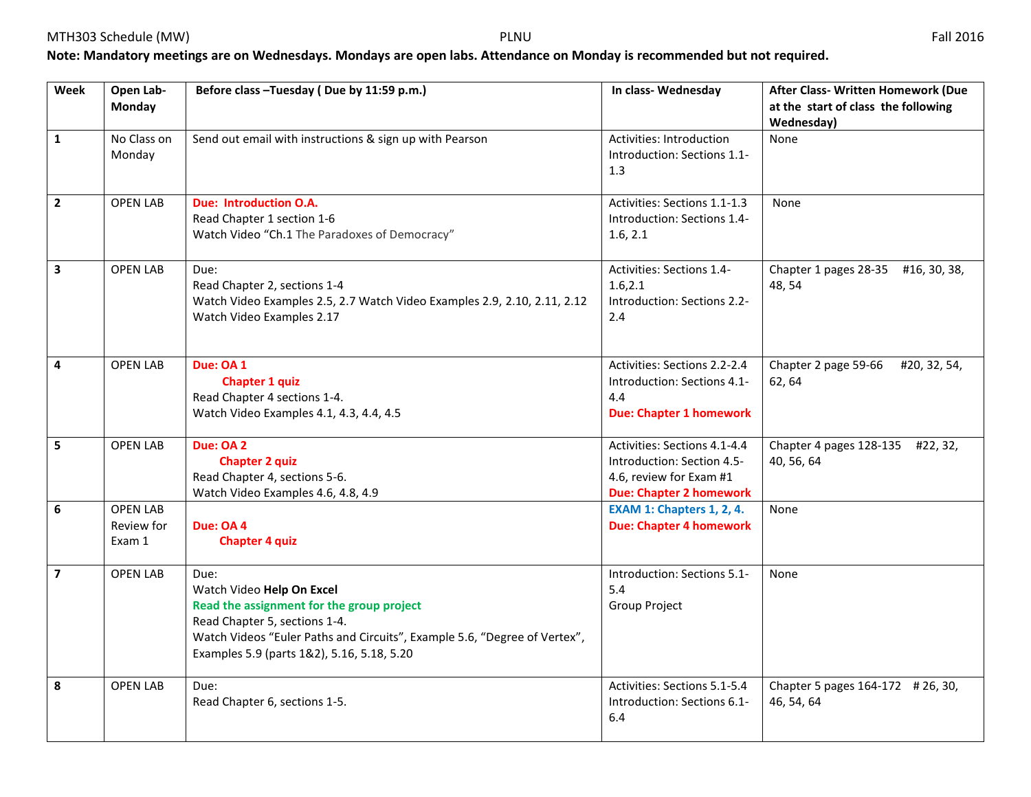## **Note: Mandatory meetings are on Wednesdays. Mondays are open labs. Attendance on Monday is recommended but not required.**

| Week                    | Open Lab-<br><b>Monday</b>              | Before class - Tuesday (Due by 11:59 p.m.)                                                                                                                                                                                                 | In class-Wednesday                                                                                                      | After Class- Written Homework (Due<br>at the start of class the following<br>Wednesday) |
|-------------------------|-----------------------------------------|--------------------------------------------------------------------------------------------------------------------------------------------------------------------------------------------------------------------------------------------|-------------------------------------------------------------------------------------------------------------------------|-----------------------------------------------------------------------------------------|
| $\mathbf{1}$            | No Class on<br>Monday                   | Send out email with instructions & sign up with Pearson                                                                                                                                                                                    | Activities: Introduction<br>Introduction: Sections 1.1-<br>1.3                                                          | None                                                                                    |
| $\mathbf{2}$            | <b>OPEN LAB</b>                         | <b>Due: Introduction O.A.</b><br>Read Chapter 1 section 1-6<br>Watch Video "Ch.1 The Paradoxes of Democracy"                                                                                                                               | Activities: Sections 1.1-1.3<br>Introduction: Sections 1.4-<br>1.6, 2.1                                                 | None                                                                                    |
| $\overline{\mathbf{3}}$ | <b>OPEN LAB</b>                         | Due:<br>Read Chapter 2, sections 1-4<br>Watch Video Examples 2.5, 2.7 Watch Video Examples 2.9, 2.10, 2.11, 2.12<br>Watch Video Examples 2.17                                                                                              | Activities: Sections 1.4-<br>1.6, 2.1<br>Introduction: Sections 2.2-<br>2.4                                             | Chapter 1 pages 28-35 #16, 30, 38,<br>48, 54                                            |
| 4                       | <b>OPEN LAB</b>                         | Due: OA 1<br>Chapter 1 quiz<br>Read Chapter 4 sections 1-4.<br>Watch Video Examples 4.1, 4.3, 4.4, 4.5                                                                                                                                     | Activities: Sections 2.2-2.4<br>Introduction: Sections 4.1-<br>4.4<br><b>Due: Chapter 1 homework</b>                    | Chapter 2 page 59-66<br>#20, 32, 54,<br>62, 64                                          |
| 5                       | <b>OPEN LAB</b>                         | Due: OA 2<br><b>Chapter 2 quiz</b><br>Read Chapter 4, sections 5-6.<br>Watch Video Examples 4.6, 4.8, 4.9                                                                                                                                  | Activities: Sections 4.1-4.4<br>Introduction: Section 4.5-<br>4.6, review for Exam #1<br><b>Due: Chapter 2 homework</b> | Chapter 4 pages 128-135 #22, 32,<br>40, 56, 64                                          |
| 6                       | <b>OPEN LAB</b><br>Review for<br>Exam 1 | Due: OA 4<br><b>Chapter 4 quiz</b>                                                                                                                                                                                                         | <b>EXAM 1: Chapters 1, 2, 4.</b><br><b>Due: Chapter 4 homework</b>                                                      | None                                                                                    |
| $\overline{7}$          | <b>OPEN LAB</b>                         | Due:<br>Watch Video Help On Excel<br>Read the assignment for the group project<br>Read Chapter 5, sections 1-4.<br>Watch Videos "Euler Paths and Circuits", Example 5.6, "Degree of Vertex",<br>Examples 5.9 (parts 1&2), 5.16, 5.18, 5.20 | Introduction: Sections 5.1-<br>5.4<br>Group Project                                                                     | None                                                                                    |
| 8                       | <b>OPEN LAB</b>                         | Due:<br>Read Chapter 6, sections 1-5.                                                                                                                                                                                                      | Activities: Sections 5.1-5.4<br>Introduction: Sections 6.1-<br>6.4                                                      | Chapter 5 pages 164-172 # 26, 30,<br>46, 54, 64                                         |